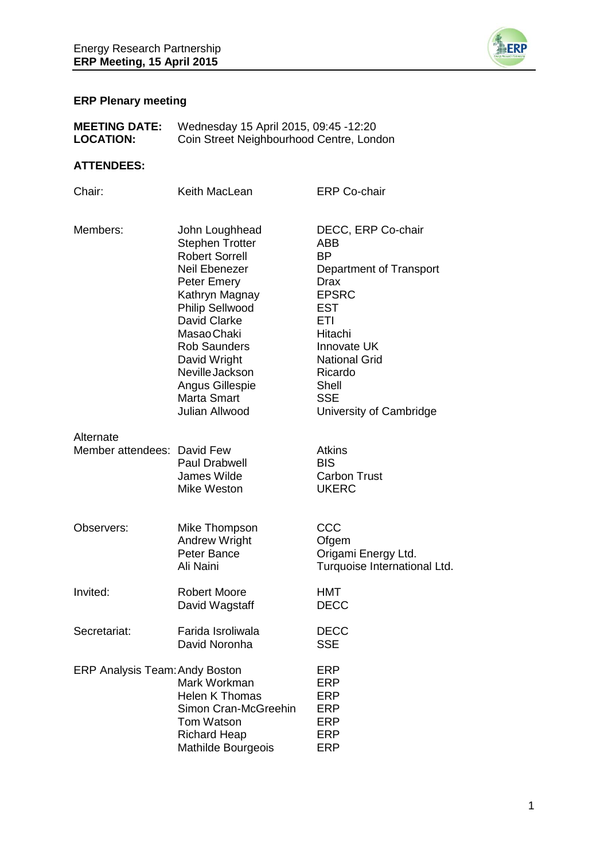

# **ERP Plenary meeting**

| <b>MEETING DATE:</b> | Wednesday 15 April 2015, 09:45 -12:20    |
|----------------------|------------------------------------------|
| <b>LOCATION:</b>     | Coin Street Neighbourhood Centre, London |

## **ATTENDEES:**

| Chair:                                   | Keith MacLean                                                                                                                                                                                                                                                                                                   | <b>ERP Co-chair</b>                                                                                                                                                                                                           |
|------------------------------------------|-----------------------------------------------------------------------------------------------------------------------------------------------------------------------------------------------------------------------------------------------------------------------------------------------------------------|-------------------------------------------------------------------------------------------------------------------------------------------------------------------------------------------------------------------------------|
| Members:                                 | John Loughhead<br><b>Stephen Trotter</b><br><b>Robert Sorrell</b><br>Neil Ebenezer<br><b>Peter Emery</b><br>Kathryn Magnay<br><b>Philip Sellwood</b><br><b>David Clarke</b><br>Masao Chaki<br><b>Rob Saunders</b><br>David Wright<br>Neville Jackson<br>Angus Gillespie<br><b>Marta Smart</b><br>Julian Allwood | DECC, ERP Co-chair<br>ABB<br><b>BP</b><br>Department of Transport<br>Drax<br><b>EPSRC</b><br><b>EST</b><br>ETI<br>Hitachi<br>Innovate UK<br><b>National Grid</b><br>Ricardo<br>Shell<br><b>SSE</b><br>University of Cambridge |
| Alternate<br>Member attendees: David Few | Paul Drabwell<br>James Wilde<br>Mike Weston                                                                                                                                                                                                                                                                     | <b>Atkins</b><br><b>BIS</b><br><b>Carbon Trust</b><br><b>UKERC</b>                                                                                                                                                            |
| Observers:                               | Mike Thompson<br><b>Andrew Wright</b><br>Peter Bance<br>Ali Naini                                                                                                                                                                                                                                               | CCC<br>Ofgem<br>Origami Energy Ltd.<br>Turquoise International Ltd.                                                                                                                                                           |
| Invited:                                 | <b>Robert Moore</b><br>David Wagstaff                                                                                                                                                                                                                                                                           | <b>HMT</b><br><b>DECC</b>                                                                                                                                                                                                     |
| Secretariat:                             | Farida Isroliwala<br>David Noronha                                                                                                                                                                                                                                                                              | <b>DECC</b><br><b>SSE</b>                                                                                                                                                                                                     |
| <b>ERP Analysis Team: Andy Boston</b>    | Mark Workman<br><b>Helen K Thomas</b><br>Simon Cran-McGreehin<br>Tom Watson<br><b>Richard Heap</b><br>Mathilde Bourgeois                                                                                                                                                                                        | <b>ERP</b><br>ERP<br><b>ERP</b><br><b>ERP</b><br><b>ERP</b><br><b>ERP</b><br>ERP                                                                                                                                              |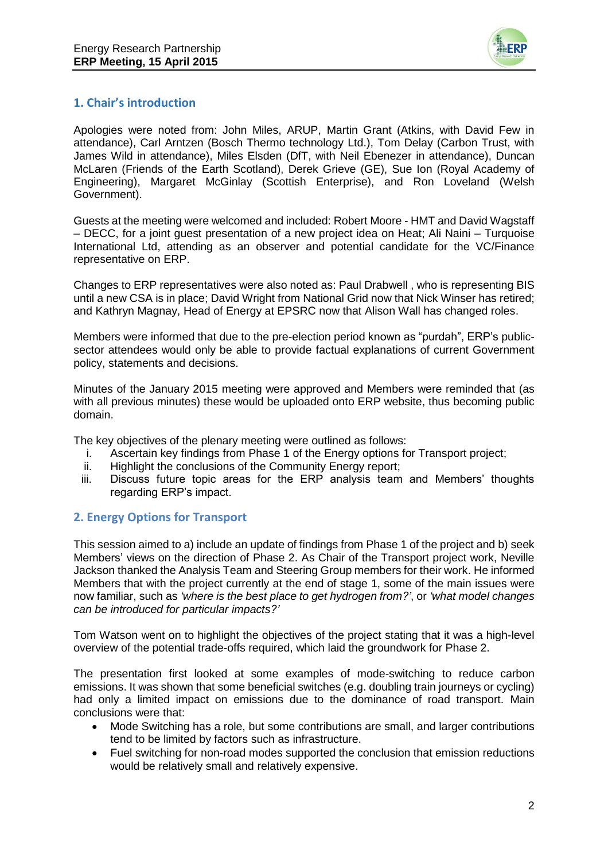

## **1. Chair's introduction**

Apologies were noted from: John Miles, ARUP, Martin Grant (Atkins, with David Few in attendance), Carl Arntzen (Bosch Thermo technology Ltd.), Tom Delay (Carbon Trust, with James Wild in attendance), Miles Elsden (DfT, with Neil Ebenezer in attendance), Duncan McLaren (Friends of the Earth Scotland), Derek Grieve (GE), Sue Ion (Royal Academy of Engineering), Margaret McGinlay (Scottish Enterprise), and Ron Loveland (Welsh Government).

Guests at the meeting were welcomed and included: Robert Moore - HMT and David Wagstaff – DECC, for a joint guest presentation of a new project idea on Heat; Ali Naini – Turquoise International Ltd, attending as an observer and potential candidate for the VC/Finance representative on ERP.

Changes to ERP representatives were also noted as: Paul Drabwell , who is representing BIS until a new CSA is in place; David Wright from National Grid now that Nick Winser has retired; and Kathryn Magnay, Head of Energy at EPSRC now that Alison Wall has changed roles.

Members were informed that due to the pre-election period known as "purdah", ERP's publicsector attendees would only be able to provide factual explanations of current Government policy, statements and decisions.

Minutes of the January 2015 meeting were approved and Members were reminded that (as with all previous minutes) these would be uploaded onto ERP website, thus becoming public domain.

The key objectives of the plenary meeting were outlined as follows:

- i. Ascertain key findings from Phase 1 of the Energy options for Transport project;
- ii. Highlight the conclusions of the Community Energy report;
- iii. Discuss future topic areas for the ERP analysis team and Members' thoughts regarding ERP's impact.

## **2. Energy Options for Transport**

This session aimed to a) include an update of findings from Phase 1 of the project and b) seek Members' views on the direction of Phase 2. As Chair of the Transport project work, Neville Jackson thanked the Analysis Team and Steering Group members for their work. He informed Members that with the project currently at the end of stage 1, some of the main issues were now familiar, such as *'where is the best place to get hydrogen from?'*, or *'what model changes can be introduced for particular impacts?'*

Tom Watson went on to highlight the objectives of the project stating that it was a high-level overview of the potential trade-offs required, which laid the groundwork for Phase 2.

The presentation first looked at some examples of mode-switching to reduce carbon emissions. It was shown that some beneficial switches (e.g. doubling train journeys or cycling) had only a limited impact on emissions due to the dominance of road transport. Main conclusions were that:

- Mode Switching has a role, but some contributions are small, and larger contributions tend to be limited by factors such as infrastructure.
- Fuel switching for non-road modes supported the conclusion that emission reductions would be relatively small and relatively expensive.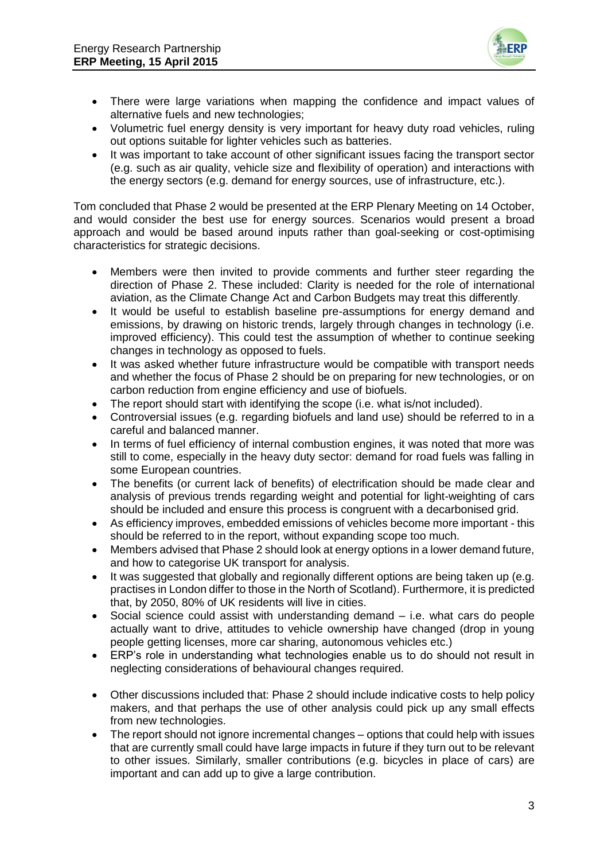

- There were large variations when mapping the confidence and impact values of alternative fuels and new technologies;
- Volumetric fuel energy density is very important for heavy duty road vehicles, ruling out options suitable for lighter vehicles such as batteries.
- It was important to take account of other significant issues facing the transport sector (e.g. such as air quality, vehicle size and flexibility of operation) and interactions with the energy sectors (e.g. demand for energy sources, use of infrastructure, etc.).

Tom concluded that Phase 2 would be presented at the ERP Plenary Meeting on 14 October, and would consider the best use for energy sources. Scenarios would present a broad approach and would be based around inputs rather than goal-seeking or cost-optimising characteristics for strategic decisions.

- Members were then invited to provide comments and further steer regarding the direction of Phase 2. These included: Clarity is needed for the role of international aviation, as the Climate Change Act and Carbon Budgets may treat this differently.
- It would be useful to establish baseline pre-assumptions for energy demand and emissions, by drawing on historic trends, largely through changes in technology (i.e. improved efficiency). This could test the assumption of whether to continue seeking changes in technology as opposed to fuels.
- It was asked whether future infrastructure would be compatible with transport needs and whether the focus of Phase 2 should be on preparing for new technologies, or on carbon reduction from engine efficiency and use of biofuels.
- The report should start with identifying the scope (i.e. what is/not included).
- Controversial issues (e.g. regarding biofuels and land use) should be referred to in a careful and balanced manner.
- In terms of fuel efficiency of internal combustion engines, it was noted that more was still to come, especially in the heavy duty sector: demand for road fuels was falling in some European countries.
- The benefits (or current lack of benefits) of electrification should be made clear and analysis of previous trends regarding weight and potential for light-weighting of cars should be included and ensure this process is congruent with a decarbonised grid.
- As efficiency improves, embedded emissions of vehicles become more important this should be referred to in the report, without expanding scope too much.
- Members advised that Phase 2 should look at energy options in a lower demand future, and how to categorise UK transport for analysis.
- It was suggested that globally and regionally different options are being taken up (e.g. practises in London differ to those in the North of Scotland). Furthermore, it is predicted that, by 2050, 80% of UK residents will live in cities.
- Social science could assist with understanding demand i.e. what cars do people actually want to drive, attitudes to vehicle ownership have changed (drop in young people getting licenses, more car sharing, autonomous vehicles etc.)
- ERP's role in understanding what technologies enable us to do should not result in neglecting considerations of behavioural changes required.
- Other discussions included that: Phase 2 should include indicative costs to help policy makers, and that perhaps the use of other analysis could pick up any small effects from new technologies.
- The report should not ignore incremental changes options that could help with issues that are currently small could have large impacts in future if they turn out to be relevant to other issues. Similarly, smaller contributions (e.g. bicycles in place of cars) are important and can add up to give a large contribution.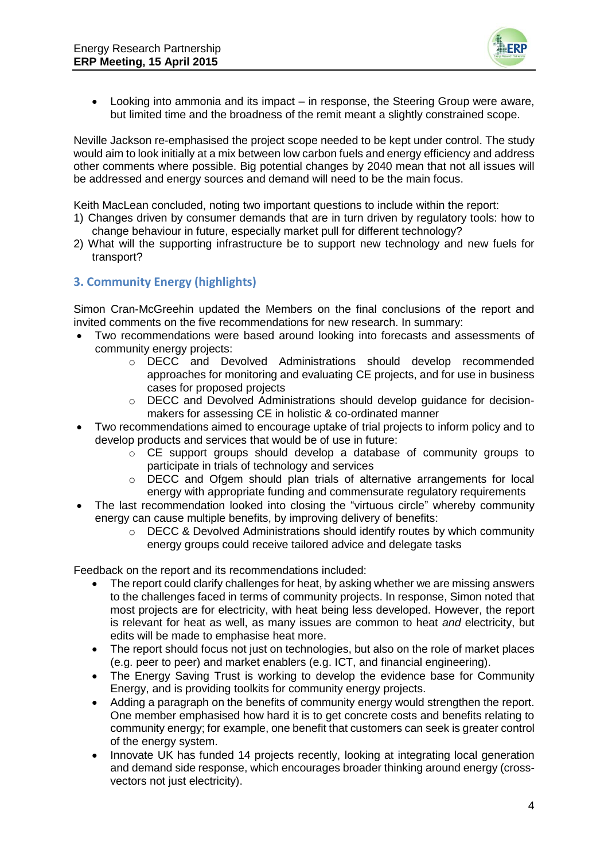

 Looking into ammonia and its impact – in response, the Steering Group were aware, but limited time and the broadness of the remit meant a slightly constrained scope.

Neville Jackson re-emphasised the project scope needed to be kept under control. The study would aim to look initially at a mix between low carbon fuels and energy efficiency and address other comments where possible. Big potential changes by 2040 mean that not all issues will be addressed and energy sources and demand will need to be the main focus.

Keith MacLean concluded, noting two important questions to include within the report:

- 1) Changes driven by consumer demands that are in turn driven by regulatory tools: how to change behaviour in future, especially market pull for different technology?
- 2) What will the supporting infrastructure be to support new technology and new fuels for transport?

## **3. Community Energy (highlights)**

Simon Cran-McGreehin updated the Members on the final conclusions of the report and invited comments on the five recommendations for new research. In summary:

- Two recommendations were based around looking into forecasts and assessments of community energy projects:
	- o DECC and Devolved Administrations should develop recommended approaches for monitoring and evaluating CE projects, and for use in business cases for proposed projects
	- o DECC and Devolved Administrations should develop guidance for decisionmakers for assessing CE in holistic & co-ordinated manner
- Two recommendations aimed to encourage uptake of trial projects to inform policy and to develop products and services that would be of use in future:
	- o CE support groups should develop a database of community groups to participate in trials of technology and services
	- o DECC and Ofgem should plan trials of alternative arrangements for local energy with appropriate funding and commensurate regulatory requirements
- The last recommendation looked into closing the "virtuous circle" whereby community energy can cause multiple benefits, by improving delivery of benefits:
	- o DECC & Devolved Administrations should identify routes by which community energy groups could receive tailored advice and delegate tasks

Feedback on the report and its recommendations included:

- The report could clarify challenges for heat, by asking whether we are missing answers to the challenges faced in terms of community projects. In response, Simon noted that most projects are for electricity, with heat being less developed. However, the report is relevant for heat as well, as many issues are common to heat *and* electricity, but edits will be made to emphasise heat more.
- The report should focus not just on technologies, but also on the role of market places (e.g. peer to peer) and market enablers (e.g. ICT, and financial engineering).
- The Energy Saving Trust is working to develop the evidence base for Community Energy, and is providing toolkits for community energy projects.
- Adding a paragraph on the benefits of community energy would strengthen the report. One member emphasised how hard it is to get concrete costs and benefits relating to community energy; for example, one benefit that customers can seek is greater control of the energy system.
- Innovate UK has funded 14 projects recently, looking at integrating local generation and demand side response, which encourages broader thinking around energy (crossvectors not just electricity).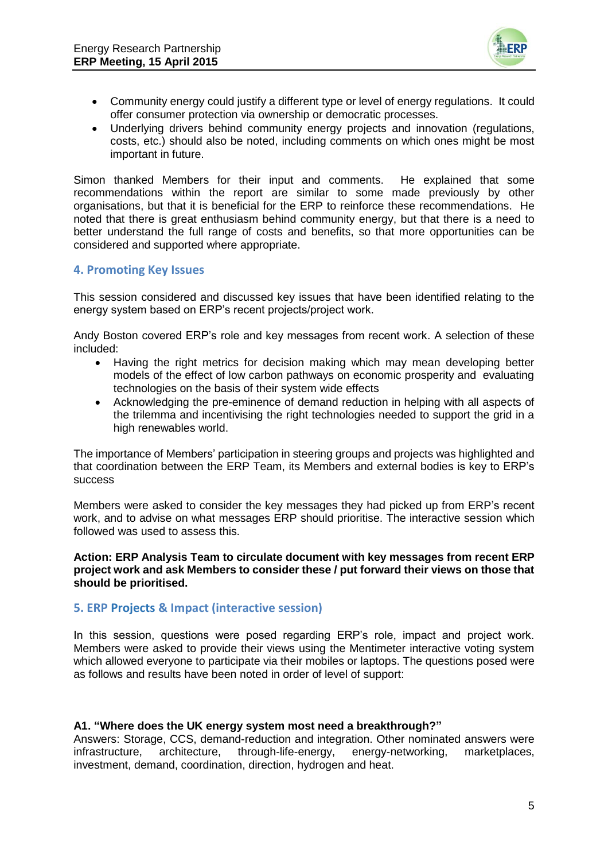

- Community energy could justify a different type or level of energy regulations. It could offer consumer protection via ownership or democratic processes.
- Underlying drivers behind community energy projects and innovation (regulations, costs, etc.) should also be noted, including comments on which ones might be most important in future.

Simon thanked Members for their input and comments. He explained that some recommendations within the report are similar to some made previously by other organisations, but that it is beneficial for the ERP to reinforce these recommendations. He noted that there is great enthusiasm behind community energy, but that there is a need to better understand the full range of costs and benefits, so that more opportunities can be considered and supported where appropriate.

## **4. Promoting Key Issues**

This session considered and discussed key issues that have been identified relating to the energy system based on ERP's recent projects/project work.

Andy Boston covered ERP's role and key messages from recent work. A selection of these included:

- Having the right metrics for decision making which may mean developing better models of the effect of low carbon pathways on economic prosperity and evaluating technologies on the basis of their system wide effects
- Acknowledging the pre-eminence of demand reduction in helping with all aspects of the trilemma and incentivising the right technologies needed to support the grid in a high renewables world.

The importance of Members' participation in steering groups and projects was highlighted and that coordination between the ERP Team, its Members and external bodies is key to ERP's success

Members were asked to consider the key messages they had picked up from ERP's recent work, and to advise on what messages ERP should prioritise. The interactive session which followed was used to assess this.

#### **Action: ERP Analysis Team to circulate document with key messages from recent ERP project work and ask Members to consider these / put forward their views on those that should be prioritised.**

## **5. ERP Projects & Impact (interactive session)**

In this session, questions were posed regarding ERP's role, impact and project work. Members were asked to provide their views using the Mentimeter interactive voting system which allowed everyone to participate via their mobiles or laptops. The questions posed were as follows and results have been noted in order of level of support:

#### **A1. "Where does the UK energy system most need a breakthrough?"**

Answers: Storage, CCS, demand-reduction and integration. Other nominated answers were infrastructure, architecture, through-life-energy, energy-networking, marketplaces, investment, demand, coordination, direction, hydrogen and heat.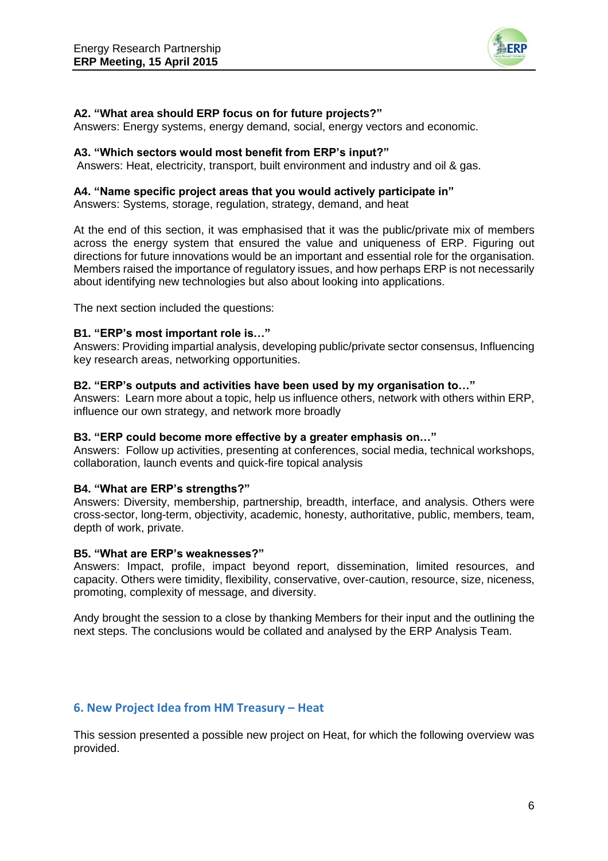

### **A2. "What area should ERP focus on for future projects?"**

Answers: Energy systems, energy demand, social, energy vectors and economic.

#### **A3. "Which sectors would most benefit from ERP's input?"**

Answers: Heat, electricity, transport, built environment and industry and oil & gas.

#### **A4. "Name specific project areas that you would actively participate in"**

Answers: Systems, storage, regulation, strategy, demand, and heat

At the end of this section, it was emphasised that it was the public/private mix of members across the energy system that ensured the value and uniqueness of ERP. Figuring out directions for future innovations would be an important and essential role for the organisation. Members raised the importance of regulatory issues, and how perhaps ERP is not necessarily about identifying new technologies but also about looking into applications.

The next section included the questions:

#### **B1. "ERP's most important role is…"**

Answers: Providing impartial analysis, developing public/private sector consensus, Influencing key research areas, networking opportunities.

#### **B2. "ERP's outputs and activities have been used by my organisation to…"**

Answers: Learn more about a topic, help us influence others, network with others within ERP, influence our own strategy, and network more broadly

#### **B3. "ERP could become more effective by a greater emphasis on…"**

Answers: Follow up activities, presenting at conferences, social media, technical workshops, collaboration, launch events and quick-fire topical analysis

### **B4. "What are ERP's strengths?"**

Answers: Diversity, membership, partnership, breadth, interface, and analysis. Others were cross-sector, long-term, objectivity, academic, honesty, authoritative, public, members, team, depth of work, private.

### **B5. "What are ERP's weaknesses?"**

Answers: Impact, profile, impact beyond report, dissemination, limited resources, and capacity. Others were timidity, flexibility, conservative, over-caution, resource, size, niceness, promoting, complexity of message, and diversity.

Andy brought the session to a close by thanking Members for their input and the outlining the next steps. The conclusions would be collated and analysed by the ERP Analysis Team.

### **6. New Project Idea from HM Treasury – Heat**

This session presented a possible new project on Heat, for which the following overview was provided.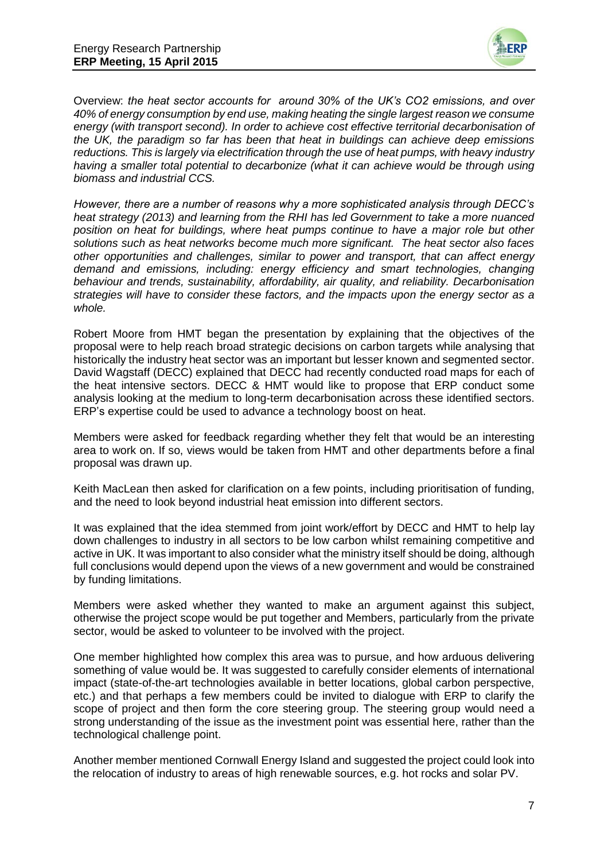

Overview: *the heat sector accounts for around 30% of the UK's CO2 emissions, and over 40% of energy consumption by end use, making heating the single largest reason we consume energy (with transport second). In order to achieve cost effective territorial decarbonisation of the UK, the paradigm so far has been that heat in buildings can achieve deep emissions reductions. This is largely via electrification through the use of heat pumps, with heavy industry having a smaller total potential to decarbonize (what it can achieve would be through using biomass and industrial CCS.* 

*However, there are a number of reasons why a more sophisticated analysis through DECC's heat strategy (2013) and learning from the RHI has led Government to take a more nuanced position on heat for buildings, where heat pumps continue to have a major role but other solutions such as heat networks become much more significant. The heat sector also faces other opportunities and challenges, similar to power and transport, that can affect energy demand and emissions, including: energy efficiency and smart technologies, changing behaviour and trends, sustainability, affordability, air quality, and reliability. Decarbonisation strategies will have to consider these factors, and the impacts upon the energy sector as a whole.* 

Robert Moore from HMT began the presentation by explaining that the objectives of the proposal were to help reach broad strategic decisions on carbon targets while analysing that historically the industry heat sector was an important but lesser known and segmented sector. David Wagstaff (DECC) explained that DECC had recently conducted road maps for each of the heat intensive sectors. DECC & HMT would like to propose that ERP conduct some analysis looking at the medium to long-term decarbonisation across these identified sectors. ERP's expertise could be used to advance a technology boost on heat.

Members were asked for feedback regarding whether they felt that would be an interesting area to work on. If so, views would be taken from HMT and other departments before a final proposal was drawn up.

Keith MacLean then asked for clarification on a few points, including prioritisation of funding, and the need to look beyond industrial heat emission into different sectors.

It was explained that the idea stemmed from joint work/effort by DECC and HMT to help lay down challenges to industry in all sectors to be low carbon whilst remaining competitive and active in UK. It was important to also consider what the ministry itself should be doing, although full conclusions would depend upon the views of a new government and would be constrained by funding limitations.

Members were asked whether they wanted to make an argument against this subject, otherwise the project scope would be put together and Members, particularly from the private sector, would be asked to volunteer to be involved with the project.

One member highlighted how complex this area was to pursue, and how arduous delivering something of value would be. It was suggested to carefully consider elements of international impact (state-of-the-art technologies available in better locations, global carbon perspective, etc.) and that perhaps a few members could be invited to dialogue with ERP to clarify the scope of project and then form the core steering group. The steering group would need a strong understanding of the issue as the investment point was essential here, rather than the technological challenge point.

Another member mentioned Cornwall Energy Island and suggested the project could look into the relocation of industry to areas of high renewable sources, e.g. hot rocks and solar PV.